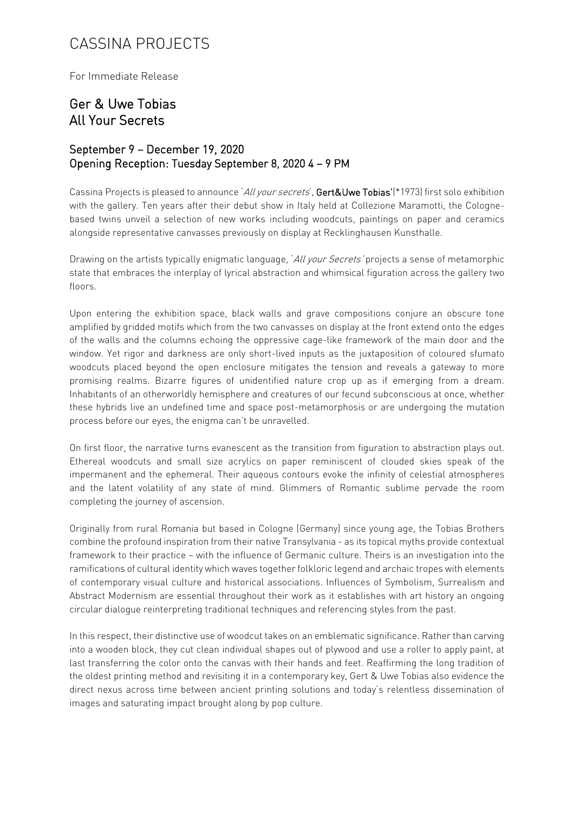## CASSINA PROJECTS

For Immediate Release

## Ger & Uwe Tobias All Your Secrets

## September 9 – December 19, 2020 Opening Reception: Tuesday September 8, 2020 4 – 9 PM

Cassina Projects is pleased to announce *All your secrets'*, Gert&Uwe Tobias'(\*1973) first solo exhibition with the gallery. Ten years after their debut show in Italy held at Collezione Maramotti, the Colognebased twins unveil a selection of new works including woodcuts, paintings on paper and ceramics alongside representative canvasses previously on display at Recklinghausen Kunsthalle.

Drawing on the artists typically enigmatic language, 'All your Secrets' projects a sense of metamorphic state that embraces the interplay of lyrical abstraction and whimsical figuration across the gallery two floors.

Upon entering the exhibition space, black walls and grave compositions conjure an obscure tone amplified by gridded motifs which from the two canvasses on display at the front extend onto the edges of the walls and the columns echoing the oppressive cage-like framework of the main door and the window. Yet rigor and darkness are only short-lived inputs as the juxtaposition of coloured sfumato woodcuts placed beyond the open enclosure mitigates the tension and reveals a gateway to more promising realms. Bizarre figures of unidentified nature crop up as if emerging from a dream. Inhabitants of an otherworldly hemisphere and creatures of our fecund subconscious at once, whether these hybrids live an undefined time and space post-metamorphosis or are undergoing the mutation process before our eyes, the enigma can't be unravelled.

On first floor, the narrative turns evanescent as the transition from figuration to abstraction plays out. Ethereal woodcuts and small size acrylics on paper reminiscent of clouded skies speak of the impermanent and the ephemeral. Their aqueous contours evoke the infinity of celestial atmospheres and the latent volatility of any state of mind. Glimmers of Romantic sublime pervade the room completing the journey of ascension.

Originally from rural Romania but based in Cologne (Germany) since young age, the Tobias Brothers combine the profound inspiration from their native Transylvania - as its topical myths provide contextual framework to their practice – with the influence of Germanic culture. Theirs is an investigation into the ramifications of cultural identity which waves together folkloric legend and archaic tropes with elements of contemporary visual culture and historical associations. Influences of Symbolism, Surrealism and Abstract Modernism are essential throughout their work as it establishes with art history an ongoing circular dialogue reinterpreting traditional techniques and referencing styles from the past.

In this respect, their distinctive use of woodcut takes on an emblematic significance. Rather than carving into a wooden block, they cut clean individual shapes out of plywood and use a roller to apply paint, at last transferring the color onto the canvas with their hands and feet. Reaffirming the long tradition of the oldest printing method and revisiting it in a contemporary key, Gert & Uwe Tobias also evidence the direct nexus across time between ancient printing solutions and today's relentless dissemination of images and saturating impact brought along by pop culture.